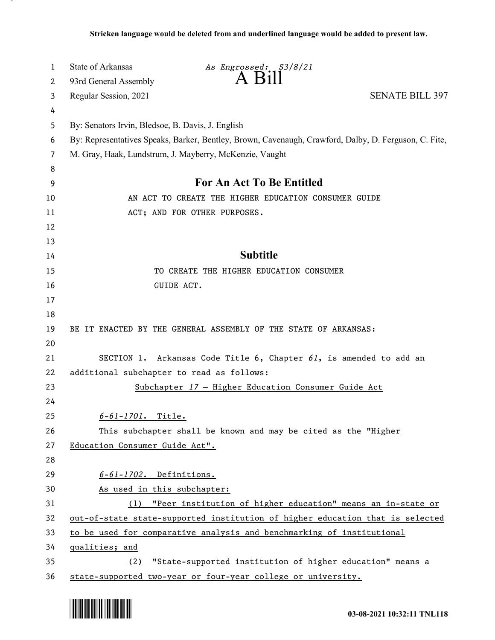| 1  | <b>State of Arkansas</b>                                                                              | As Engrossed: S3/8/21                                                 |                        |  |
|----|-------------------------------------------------------------------------------------------------------|-----------------------------------------------------------------------|------------------------|--|
| 2  | 93rd General Assembly                                                                                 | $A$ B <sub>1</sub> $\parallel$                                        |                        |  |
| 3  | Regular Session, 2021                                                                                 |                                                                       | <b>SENATE BILL 397</b> |  |
| 4  |                                                                                                       |                                                                       |                        |  |
| 5  |                                                                                                       | By: Senators Irvin, Bledsoe, B. Davis, J. English                     |                        |  |
| 6  | By: Representatives Speaks, Barker, Bentley, Brown, Cavenaugh, Crawford, Dalby, D. Ferguson, C. Fite, |                                                                       |                        |  |
| 7  | M. Gray, Haak, Lundstrum, J. Mayberry, McKenzie, Vaught                                               |                                                                       |                        |  |
| 8  |                                                                                                       |                                                                       |                        |  |
| 9  | For An Act To Be Entitled                                                                             |                                                                       |                        |  |
| 10 | AN ACT TO CREATE THE HIGHER EDUCATION CONSUMER GUIDE                                                  |                                                                       |                        |  |
| 11 |                                                                                                       | ACT; AND FOR OTHER PURPOSES.                                          |                        |  |
| 12 |                                                                                                       |                                                                       |                        |  |
| 13 |                                                                                                       |                                                                       |                        |  |
| 14 | <b>Subtitle</b>                                                                                       |                                                                       |                        |  |
| 15 |                                                                                                       | TO CREATE THE HIGHER EDUCATION CONSUMER                               |                        |  |
| 16 | GUIDE ACT.                                                                                            |                                                                       |                        |  |
| 17 |                                                                                                       |                                                                       |                        |  |
| 18 |                                                                                                       |                                                                       |                        |  |
| 19 |                                                                                                       | BE IT ENACTED BY THE GENERAL ASSEMBLY OF THE STATE OF ARKANSAS:       |                        |  |
| 20 |                                                                                                       |                                                                       |                        |  |
| 21 |                                                                                                       | SECTION 1. Arkansas Code Title 6, Chapter 61, is amended to add an    |                        |  |
| 22 | additional subchapter to read as follows:                                                             |                                                                       |                        |  |
| 23 |                                                                                                       | Subchapter 17 - Higher Education Consumer Guide Act                   |                        |  |
| 24 |                                                                                                       |                                                                       |                        |  |
| 25 | 6-61-1701. Title.                                                                                     |                                                                       |                        |  |
| 26 | This subchapter shall be known and may be cited as the "Higher                                        |                                                                       |                        |  |
| 27 | Education Consumer Guide Act".                                                                        |                                                                       |                        |  |
| 28 |                                                                                                       |                                                                       |                        |  |
| 29 | $6-61-1702$ . Definitions.                                                                            |                                                                       |                        |  |
| 30 | As used in this subchapter:                                                                           |                                                                       |                        |  |
| 31 |                                                                                                       | (1) "Peer institution of higher education" means an in-state or       |                        |  |
| 32 | out-of-state state-supported institution of higher education that is selected                         |                                                                       |                        |  |
| 33 |                                                                                                       | to be used for comparative analysis and benchmarking of institutional |                        |  |
| 34 | qualities; and                                                                                        |                                                                       |                        |  |
| 35 | "State-supported institution of higher education" means a<br>(2)                                      |                                                                       |                        |  |
| 36 |                                                                                                       | state-supported two-year or four-year college or university.          |                        |  |

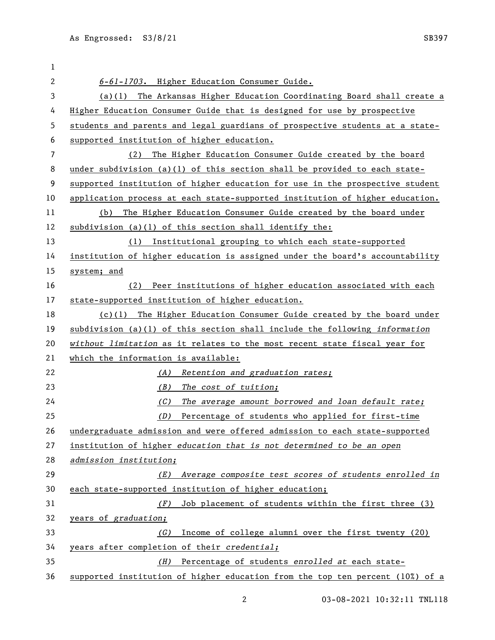| 1            |                                                                               |  |  |
|--------------|-------------------------------------------------------------------------------|--|--|
| $\mathbf{2}$ | 6-61-1703. Higher Education Consumer Guide.                                   |  |  |
| 3            | (a)(1) The Arkansas Higher Education Coordinating Board shall create a        |  |  |
| 4            | Higher Education Consumer Guide that is designed for use by prospective       |  |  |
| 5            | students and parents and legal guardians of prospective students at a state-  |  |  |
| 6            | supported institution of higher education.                                    |  |  |
| 7            | The Higher Education Consumer Guide created by the board<br>(2)               |  |  |
| 8            | under subdivision (a)(1) of this section shall be provided to each state-     |  |  |
| 9            | supported institution of higher education for use in the prospective student  |  |  |
| 10           | application process at each state-supported institution of higher education.  |  |  |
| 11           | The Higher Education Consumer Guide created by the board under<br>(b)         |  |  |
| 12           | subdivision $(a)(1)$ of this section shall identify the:                      |  |  |
| 13           | (1) Institutional grouping to which each state-supported                      |  |  |
| 14           | institution of higher education is assigned under the board's accountability  |  |  |
| 15           | system; and                                                                   |  |  |
| 16           | Peer institutions of higher education associated with each<br>(2)             |  |  |
| 17           | state-supported institution of higher education.                              |  |  |
| 18           | $(c)(1)$ The Higher Education Consumer Guide created by the board under       |  |  |
| 19           | subdivision (a)(1) of this section shall include the following information    |  |  |
| 20           | without limitation as it relates to the most recent state fiscal year for     |  |  |
| 21           | which the information is available:                                           |  |  |
| 22           | Retention and graduation rates;<br>(A)                                        |  |  |
| 23           | (B)<br>The cost of tuition;                                                   |  |  |
| 24           | The average amount borrowed and loan default rate;<br>(C)                     |  |  |
| 25           | Percentage of students who applied for first-time<br>(D)                      |  |  |
| 26           | undergraduate admission and were offered admission to each state-supported    |  |  |
| 27           | institution of higher education that is not determined to be an open          |  |  |
| 28           | admission institution;                                                        |  |  |
| 29           | Average composite test scores of students enrolled in<br>(E)                  |  |  |
| 30           | each state-supported institution of higher education;                         |  |  |
| 31           | Job placement of students within the first three (3)<br>(F)                   |  |  |
| 32           | years of graduation;                                                          |  |  |
| 33           | Income of college alumni over the first twenty (20)<br>(G)                    |  |  |
| 34           | years after completion of their credential;                                   |  |  |
| 35           | Percentage of students enrolled at each state-<br>(H)                         |  |  |
| 36           | supported institution of higher education from the top ten percent (10%) of a |  |  |

03-08-2021 10:32:11 TNL118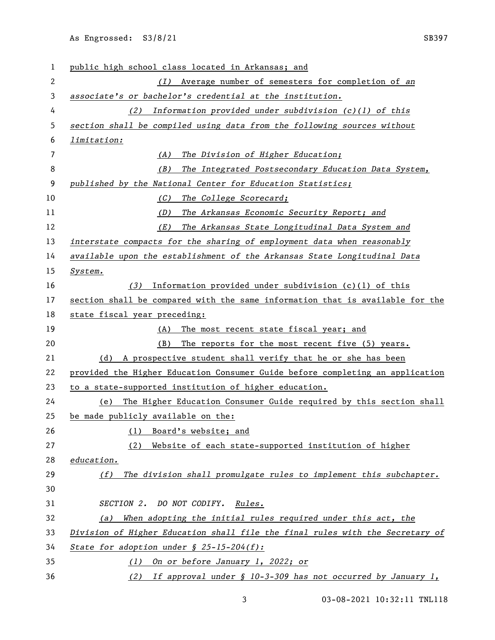As Engrossed: S3/8/21 SB397

| 1              | public high school class located in Arkansas; and                             |  |  |
|----------------|-------------------------------------------------------------------------------|--|--|
| $\mathbf{2}$   | Average number of semesters for completion of an<br>(I)                       |  |  |
| 3              | associate's or bachelor's credential at the institution.                      |  |  |
| 4              | Information provided under subdivision $(c)(1)$ of this<br>(2)                |  |  |
| 5              | section shall be compiled using data from the following sources without       |  |  |
| 6              | limitation:                                                                   |  |  |
| $\overline{7}$ | The Division of Higher Education;<br>(A)                                      |  |  |
| 8              | (B)<br>The Integrated Postsecondary Education Data System,                    |  |  |
| 9              | published by the National Center for Education Statistics;                    |  |  |
| 10             | (C)<br>The College Scorecard;                                                 |  |  |
| 11             | (D)<br>The Arkansas Economic Security Report; and                             |  |  |
| 12             | (E)<br>The Arkansas State Longitudinal Data System and                        |  |  |
| 13             | interstate compacts for the sharing of employment data when reasonably        |  |  |
| 14             | available upon the establishment of the Arkansas State Longitudinal Data      |  |  |
| 15             | System.                                                                       |  |  |
| 16             | Information provided under subdivision $(c)(1)$ of this<br>(3)                |  |  |
| 17             | section shall be compared with the same information that is available for the |  |  |
| 18             | state fiscal year preceding:                                                  |  |  |
| 19             | The most recent state fiscal year; and<br>(A)                                 |  |  |
| 20             | (B)<br>The reports for the most recent five (5) years.                        |  |  |
| 21             | (d) A prospective student shall verify that he or she has been                |  |  |
| 22             | provided the Higher Education Consumer Guide before completing an application |  |  |
| 23             | to a state-supported institution of higher education.                         |  |  |
| 24             | The Higher Education Consumer Guide required by this section shall<br>(e)     |  |  |
| 25             | be made publicly available on the:                                            |  |  |
| 26             | Board's website; and<br>(1)                                                   |  |  |
| 27             | (2)<br>Website of each state-supported institution of higher                  |  |  |
| 28             | education.                                                                    |  |  |
| 29             | The division shall promulgate rules to implement this subchapter.<br>(f)      |  |  |
| 30             |                                                                               |  |  |
| 31             | SECTION 2. DO NOT CODIFY. Rules.                                              |  |  |
| 32             | When adopting the initial rules required under this act, the<br>(a)           |  |  |
| 33             | Division of Higher Education shall file the final rules with the Secretary of |  |  |
| 34             | State for adoption under $\frac{1}{2}$ 25-15-204(f):                          |  |  |
| 35             | (1) On or before January 1, 2022; or                                          |  |  |
| 36             | (2) If approval under $\S$ 10-3-309 has not occurred by January 1,            |  |  |

03-08-2021 10:32:11 TNL118